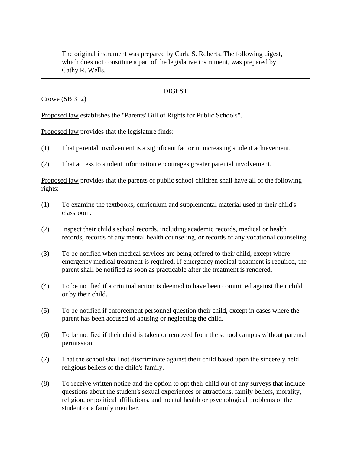The original instrument was prepared by Carla S. Roberts. The following digest, which does not constitute a part of the legislative instrument, was prepared by Cathy R. Wells.

## **DIGEST**

Crowe (SB 312)

Proposed law establishes the "Parents' Bill of Rights for Public Schools".

Proposed law provides that the legislature finds:

- (1) That parental involvement is a significant factor in increasing student achievement.
- (2) That access to student information encourages greater parental involvement.

Proposed law provides that the parents of public school children shall have all of the following rights:

- (1) To examine the textbooks, curriculum and supplemental material used in their child's classroom.
- (2) Inspect their child's school records, including academic records, medical or health records, records of any mental health counseling, or records of any vocational counseling.
- (3) To be notified when medical services are being offered to their child, except where emergency medical treatment is required. If emergency medical treatment is required, the parent shall be notified as soon as practicable after the treatment is rendered.
- (4) To be notified if a criminal action is deemed to have been committed against their child or by their child.
- (5) To be notified if enforcement personnel question their child, except in cases where the parent has been accused of abusing or neglecting the child.
- (6) To be notified if their child is taken or removed from the school campus without parental permission.
- (7) That the school shall not discriminate against their child based upon the sincerely held religious beliefs of the child's family.
- (8) To receive written notice and the option to opt their child out of any surveys that include questions about the student's sexual experiences or attractions, family beliefs, morality, religion, or political affiliations, and mental health or psychological problems of the student or a family member.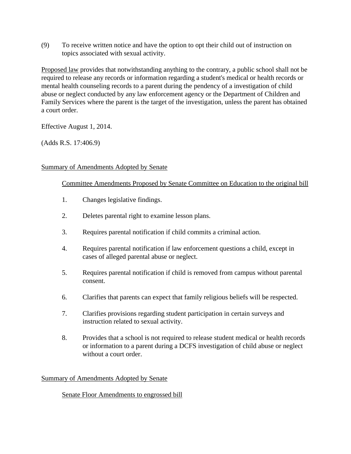(9) To receive written notice and have the option to opt their child out of instruction on topics associated with sexual activity.

Proposed law provides that notwithstanding anything to the contrary, a public school shall not be required to release any records or information regarding a student's medical or health records or mental health counseling records to a parent during the pendency of a investigation of child abuse or neglect conducted by any law enforcement agency or the Department of Children and Family Services where the parent is the target of the investigation, unless the parent has obtained a court order.

Effective August 1, 2014.

(Adds R.S. 17:406.9)

### Summary of Amendments Adopted by Senate

### Committee Amendments Proposed by Senate Committee on Education to the original bill

- 1. Changes legislative findings.
- 2. Deletes parental right to examine lesson plans.
- 3. Requires parental notification if child commits a criminal action.
- 4. Requires parental notification if law enforcement questions a child, except in cases of alleged parental abuse or neglect.
- 5. Requires parental notification if child is removed from campus without parental consent.
- 6. Clarifies that parents can expect that family religious beliefs will be respected.
- 7. Clarifies provisions regarding student participation in certain surveys and instruction related to sexual activity.
- 8. Provides that a school is not required to release student medical or health records or information to a parent during a DCFS investigation of child abuse or neglect without a court order.

#### Summary of Amendments Adopted by Senate

# Senate Floor Amendments to engrossed bill